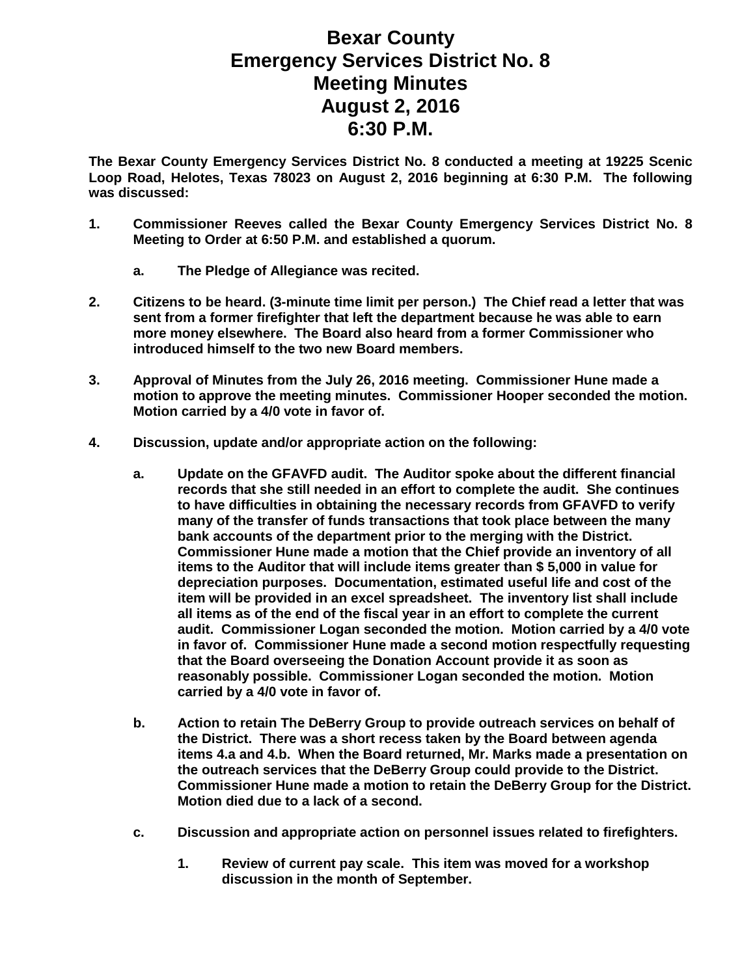## **Bexar County Emergency Services District No. 8 Meeting Minutes August 2, 2016 6:30 P.M.**

**The Bexar County Emergency Services District No. 8 conducted a meeting at 19225 Scenic Loop Road, Helotes, Texas 78023 on August 2, 2016 beginning at 6:30 P.M. The following was discussed:**

- **1. Commissioner Reeves called the Bexar County Emergency Services District No. 8 Meeting to Order at 6:50 P.M. and established a quorum.**
	- **a. The Pledge of Allegiance was recited.**
- **2. Citizens to be heard. (3-minute time limit per person.) The Chief read a letter that was sent from a former firefighter that left the department because he was able to earn more money elsewhere. The Board also heard from a former Commissioner who introduced himself to the two new Board members.**
- **3. Approval of Minutes from the July 26, 2016 meeting. Commissioner Hune made a motion to approve the meeting minutes. Commissioner Hooper seconded the motion. Motion carried by a 4/0 vote in favor of.**
- **4. Discussion, update and/or appropriate action on the following:**
	- **a. Update on the GFAVFD audit. The Auditor spoke about the different financial records that she still needed in an effort to complete the audit. She continues to have difficulties in obtaining the necessary records from GFAVFD to verify many of the transfer of funds transactions that took place between the many bank accounts of the department prior to the merging with the District. Commissioner Hune made a motion that the Chief provide an inventory of all items to the Auditor that will include items greater than \$ 5,000 in value for depreciation purposes. Documentation, estimated useful life and cost of the item will be provided in an excel spreadsheet. The inventory list shall include all items as of the end of the fiscal year in an effort to complete the current audit. Commissioner Logan seconded the motion. Motion carried by a 4/0 vote in favor of. Commissioner Hune made a second motion respectfully requesting that the Board overseeing the Donation Account provide it as soon as reasonably possible. Commissioner Logan seconded the motion. Motion carried by a 4/0 vote in favor of.**
	- **b. Action to retain The DeBerry Group to provide outreach services on behalf of the District. There was a short recess taken by the Board between agenda items 4.a and 4.b. When the Board returned, Mr. Marks made a presentation on the outreach services that the DeBerry Group could provide to the District. Commissioner Hune made a motion to retain the DeBerry Group for the District. Motion died due to a lack of a second.**
	- **c. Discussion and appropriate action on personnel issues related to firefighters.**
		- **1. Review of current pay scale. This item was moved for a workshop discussion in the month of September.**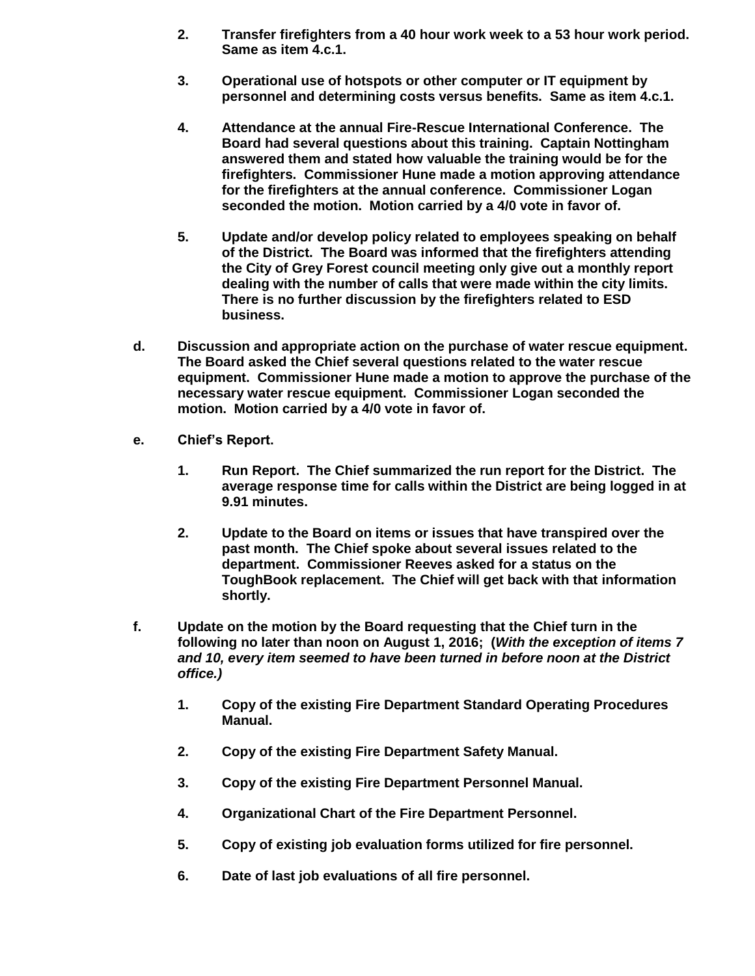- **2. Transfer firefighters from a 40 hour work week to a 53 hour work period. Same as item 4.c.1.**
- **3. Operational use of hotspots or other computer or IT equipment by personnel and determining costs versus benefits. Same as item 4.c.1.**
- **4. Attendance at the annual Fire-Rescue International Conference. The Board had several questions about this training. Captain Nottingham answered them and stated how valuable the training would be for the firefighters. Commissioner Hune made a motion approving attendance for the firefighters at the annual conference. Commissioner Logan seconded the motion. Motion carried by a 4/0 vote in favor of.**
- **5. Update and/or develop policy related to employees speaking on behalf of the District. The Board was informed that the firefighters attending the City of Grey Forest council meeting only give out a monthly report dealing with the number of calls that were made within the city limits. There is no further discussion by the firefighters related to ESD business.**
- **d. Discussion and appropriate action on the purchase of water rescue equipment. The Board asked the Chief several questions related to the water rescue equipment. Commissioner Hune made a motion to approve the purchase of the necessary water rescue equipment. Commissioner Logan seconded the motion. Motion carried by a 4/0 vote in favor of.**
- **e. Chief's Report.**
	- **1. Run Report. The Chief summarized the run report for the District. The average response time for calls within the District are being logged in at 9.91 minutes.**
	- **2. Update to the Board on items or issues that have transpired over the past month. The Chief spoke about several issues related to the department. Commissioner Reeves asked for a status on the ToughBook replacement. The Chief will get back with that information shortly.**
- **f. Update on the motion by the Board requesting that the Chief turn in the following no later than noon on August 1, 2016; (***With the exception of items 7 and 10, every item seemed to have been turned in before noon at the District office.)*
	- **1. Copy of the existing Fire Department Standard Operating Procedures Manual.**
	- **2. Copy of the existing Fire Department Safety Manual.**
	- **3. Copy of the existing Fire Department Personnel Manual.**
	- **4. Organizational Chart of the Fire Department Personnel.**
	- **5. Copy of existing job evaluation forms utilized for fire personnel.**
	- **6. Date of last job evaluations of all fire personnel.**